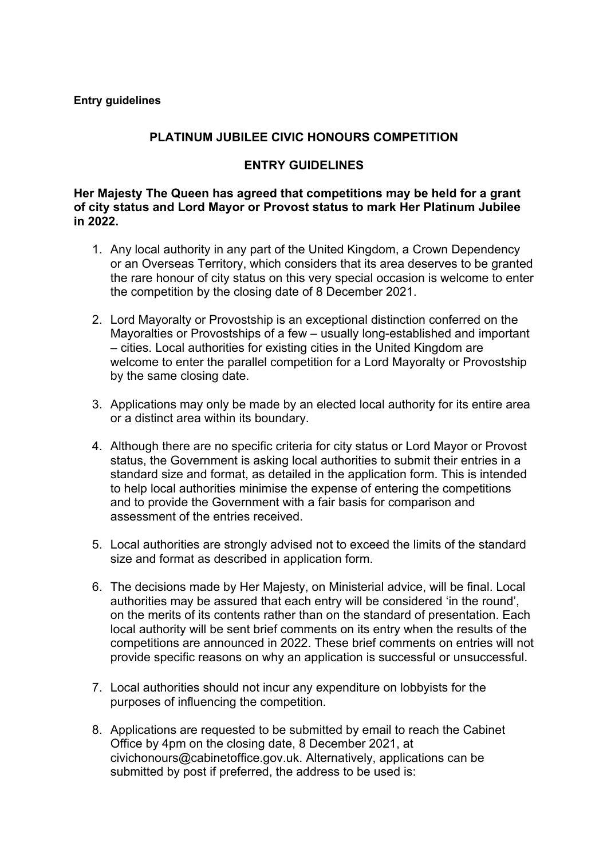### **PLATINUM JUBILEE CIVIC HONOURS COMPETITION**

#### **ENTRY GUIDELINES**

**Her Majesty The Queen has agreed that competitions may be held for a grant of city status and Lord Mayor or Provost status to mark Her Platinum Jubilee in 2022.** 

- 1. Any local authority in any part of the United Kingdom, a Crown Dependency or an Overseas Territory, which considers that its area deserves to be granted the rare honour of city status on this very special occasion is welcome to enter the competition by the closing date of 8 December 2021.
- 2. Lord Mayoralty or Provostship is an exceptional distinction conferred on the Mayoralties or Provostships of a few – usually long-established and important – cities. Local authorities for existing cities in the United Kingdom are welcome to enter the parallel competition for a Lord Mayoralty or Provostship by the same closing date.
- 3. Applications may only be made by an elected local authority for its entire area or a distinct area within its boundary.
- 4. Although there are no specific criteria for city status or Lord Mayor or Provost status, the Government is asking local authorities to submit their entries in a standard size and format, as detailed in the application form. This is intended to help local authorities minimise the expense of entering the competitions and to provide the Government with a fair basis for comparison and assessment of the entries received.
- 5. Local authorities are strongly advised not to exceed the limits of the standard size and format as described in application form.
- 6. The decisions made by Her Majesty, on Ministerial advice, will be final. Local authorities may be assured that each entry will be considered 'in the round', on the merits of its contents rather than on the standard of presentation. Each local authority will be sent brief comments on its entry when the results of the competitions are announced in 2022. These brief comments on entries will not provide specific reasons on why an application is successful or unsuccessful.
- 7. Local authorities should not incur any expenditure on lobbyists for the purposes of influencing the competition.
- 8. Applications are requested to be submitted by email to reach the Cabinet Office by 4pm on the closing date, 8 December 2021, at civichonours@cabinetoffice.gov.uk. Alternatively, applications can be submitted by post if preferred, the address to be used is: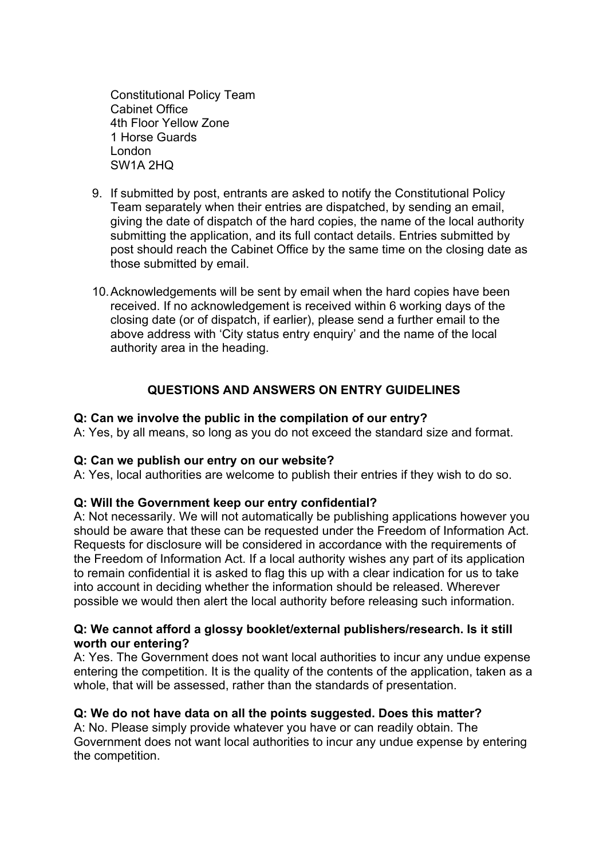Constitutional Policy Team Cabinet Office 4th Floor Yellow Zone 1 Horse Guards London SW1A 2HQ

- 9. If submitted by post, entrants are asked to notify the Constitutional Policy Team separately when their entries are dispatched, by sending an email, giving the date of dispatch of the hard copies, the name of the local authority submitting the application, and its full contact details. Entries submitted by post should reach the Cabinet Office by the same time on the closing date as those submitted by email.
- 10.Acknowledgements will be sent by email when the hard copies have been received. If no acknowledgement is received within 6 working days of the closing date (or of dispatch, if earlier), please send a further email to the above address with 'City status entry enquiry' and the name of the local authority area in the heading.

## **QUESTIONS AND ANSWERS ON ENTRY GUIDELINES**

#### **Q: Can we involve the public in the compilation of our entry?**

A: Yes, by all means, so long as you do not exceed the standard size and format.

#### **Q: Can we publish our entry on our website?**

A: Yes, local authorities are welcome to publish their entries if they wish to do so.

#### **Q: Will the Government keep our entry confidential?**

A: Not necessarily. We will not automatically be publishing applications however you should be aware that these can be requested under the Freedom of Information Act. Requests for disclosure will be considered in accordance with the requirements of the Freedom of Information Act. If a local authority wishes any part of its application to remain confidential it is asked to flag this up with a clear indication for us to take into account in deciding whether the information should be released. Wherever possible we would then alert the local authority before releasing such information.

#### **Q: We cannot afford a glossy booklet/external publishers/research. Is it still worth our entering?**

A: Yes. The Government does not want local authorities to incur any undue expense entering the competition. It is the quality of the contents of the application, taken as a whole, that will be assessed, rather than the standards of presentation.

#### **Q: We do not have data on all the points suggested. Does this matter?**

A: No. Please simply provide whatever you have or can readily obtain. The Government does not want local authorities to incur any undue expense by entering the competition.